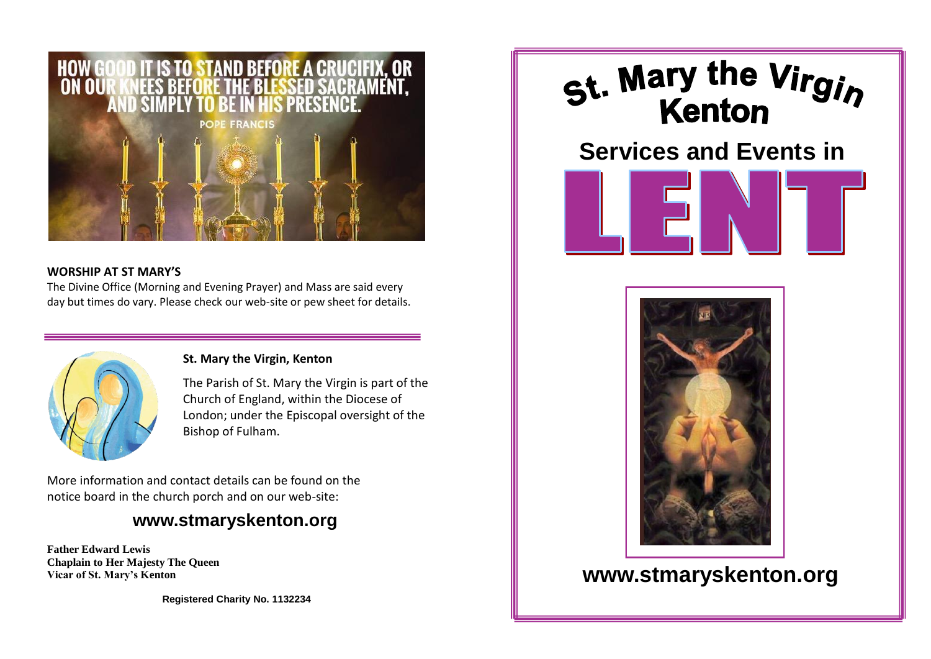

### **WORSHIP AT ST MARY'S**

The Divine Office (Morning and Evening Prayer) and Mass are said every day but times do vary. Please check our web-site or pew sheet for details.



### **St. Mary the Virgin, Kenton**

The Parish of St. Mary the Virgin is part of the Church of England, within the Diocese of London; under the Episcopal oversight of the Bishop of Fulham.

More information and contact details can be found on the notice board in the church porch and on our web-site:

## **www.stmaryskenton.org**

**Father Edward Lewis Chaplain to Her Majesty The Queen Vicar of St. Mary's Kenton**

**Registered Charity No. 1132234**



# **Services and Events in**





## **www.stmaryskenton.org**